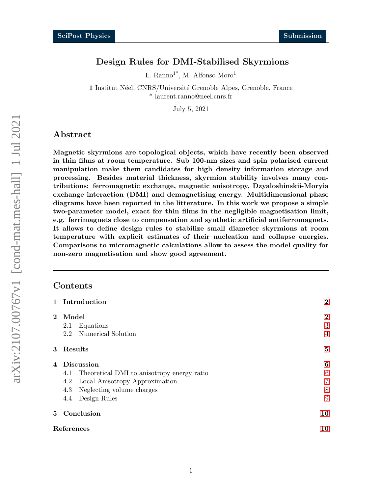# Design Rules for DMI-Stabilised Skyrmions

L. Ranno<sup>1\*</sup>, M. Alfonso Moro<sup>1</sup>

1 Institut Néel, CNRS/Université Grenoble Alpes, Grenoble, France \* laurent.ranno@neel.cnrs.fr

July 5, 2021

# Abstract

Magnetic skyrmions are topological objects, which have recently been observed in thin films at room temperature. Sub 100-nm sizes and spin polarised current manipulation make them candidates for high density information storage and processing. Besides material thickness, skyrmion stability involves many contributions: ferromagnetic exchange, magnetic anisotropy, Dzyaloshinskii-Moryia exchange interaction (DMI) and demagnetising energy. Multidimensional phase diagrams have been reported in the litterature. In this work we propose a simple two-parameter model, exact for thin films in the negligible magnetisation limit, e.g. ferrimagnets close to compensation and synthetic artificial antiferromagnets. It allows to define design rules to stabilize small diameter skyrmions at room temperature with explicit estimates of their nucleation and collapse energies. Comparisons to micromagnetic calculations allow to assess the model quality for non-zero magnetisation and show good agreement.

# **Contents**

|            | 1 Introduction                                 | $\boldsymbol{2}$ |
|------------|------------------------------------------------|------------------|
| $\bf{2}$   | Model                                          | $\bf{2}$         |
|            | Equations<br>2.1                               | 3                |
|            | 2.2 Numerical Solution                         | $\overline{4}$   |
|            | $3$ $Results$                                  | 5                |
|            | 4 Discussion                                   | 6                |
|            | 4.1 Theoretical DMI to anisotropy energy ratio | 6                |
|            | Local Anisotropy Approximation<br>4.2          | $\overline{7}$   |
|            | 4.3 Neglecting volume charges                  | 8                |
|            | Design Rules<br>4.4                            | 9                |
|            | 5 Conclusion                                   | 10               |
| References |                                                | 10               |
|            |                                                |                  |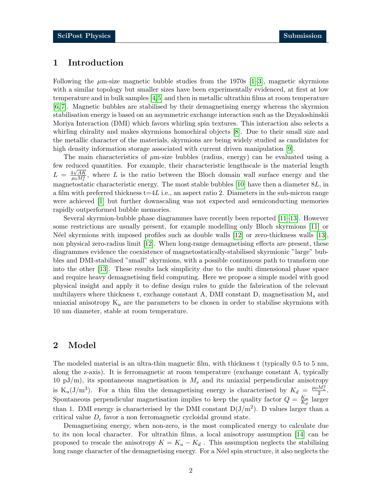# <span id="page-1-0"></span>1 Introduction

Following the  $\mu$ m-size magnetic bubble studies from the 1970s [\[1–](#page-9-2)[3\]](#page-9-3), magnetic skyrmions with a similar topology but smaller sizes have been experimentally evidenced, at first at low temperature and in bulk samples [\[4,](#page-9-4)[5\]](#page-10-0) and then in metallic ultrathin films at room temperature [\[6,](#page-10-1) [7\]](#page-10-2). Magnetic bubbles are stabilised by their demagnetising energy whereas the skyrmion stabilisation energy is based on an asymmetric exchange interaction such as the Dzyaloshinskii Moriya Interaction (DMI) which favors whirling spin textures. This interaction also selects a whirling chirality and makes skyrmions homochiral objects [\[8\]](#page-10-3). Due to their small size and the metallic character of the materials, skyrmions are being widely studied as candidates for high density information storage associated with current driven manipulation [\[9\]](#page-10-4).

The main characteristics of  $\mu$ m-size bubbles (radius, energy) can be evaluated using a few reduced quantities. For example, their characteristic lengthscale is the material length  $L = \frac{4\sqrt{AK}}{\mu_0 M_s^2}$ , where L is the ratio between the Bloch domain wall surface energy and the magnetostatic characteristic energy. The most stable bubbles  $[10]$  have then a diameter  $8L$ , in a film with preferred thickness  $t=4L$  i.e., an aspect ratio 2. Diameters in the sub-micron range were achieved [\[1\]](#page-9-2) but further downscaling was not expected and semiconducting memories rapidly outperformed bubble memories.

Several skyrmion-bubble phase diagrammes have recently been reported [\[11–](#page-10-6)[13\]](#page-10-7). However some restrictions are usually present, for example modelling only Bloch skyrmions [\[11\]](#page-10-6) or N´eel skyrmions with imposed profiles such as double walls [\[12\]](#page-10-8) or zero-thickness walls [\[13\]](#page-10-7), non physical zero-radius limit [\[12\]](#page-10-8). When long-range demagnetising effects are present, these diagrammes evidence the coexistence of magnetostatically-stabilised skyrmionic "large" bubbles and DMI-stabilised "small" skyrmions, with a possible continuous path to transform one into the other [\[13\]](#page-10-7). These results lack simplicity due to the multi dimensional phase space and require heavy demagnetising field computing. Here we propose a simple model with good physical insight and apply it to define design rules to guide the fabrication of the relevant multilayers where thickness t, exchange constant A, DMI constant D, magnetisation  $M_s$  and uniaxial anisotropy  $K_u$  are the parameters to be chosen in order to stabilise skyrmions with 10 nm diameter, stable at room temperature.

### <span id="page-1-1"></span>2 Model

The modeled material is an ultra-thin magnetic film, with thickness t (typically 0.5 to 5 nm, along the z-axis). It is ferromagnetic at room temperature (exchange constant A, typically 10 pJ/m), its spontaneous magnetisation is  $M_s$  and its uniaxial perpendicular anisotropy is K<sub>u</sub>(J/m<sup>3</sup>). For a thin film the demagnetising energy is characterised by  $K_d = \frac{\mu_0 M_s^2}{2}$ . Spontaneous perpendicular magnetisation implies to keep the quality factor  $Q = \frac{K_u}{K_u}$  $\frac{K_u}{K_d}$  larger than 1. DMI energy is characterised by the DMI constant  $D(J/m^2)$ . D values larger than a critical value  $D_c$  favor a non ferromagnetic cycloidal ground state.

Demagnetising energy, when non-zero, is the most complicated energy to calculate due to its non local character. For ultrathin films, a local anisotropy assumption [\[14\]](#page-10-9) can be proposed to rescale the anisotropy  $K = K_u - K_d$ . This assumption neglects the stabilising long range character of the demagnetising energy. For a Néel spin structure, it also neglects the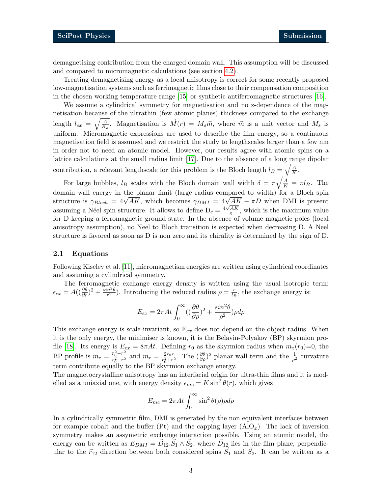demagnetising contribution from the charged domain wall. This assumption will be discussed and compared to micromagnetic calculations (see section [4.2\)](#page-6-0).

Treating demagnetising energy as a local anisotropy is correct for some recently proposed low-magnetisation systems such as ferrimagnetic films close to their compensation composition in the chosen working temperature range [\[15\]](#page-10-10) or synthetic antiferromagnetic structures [\[16\]](#page-10-11).

We assume a cylindrical symmetry for magnetisation and no z-dependence of the magnetisation because of the ultrathin (few atomic planes) thickness compared to the exchange length  $l_{ex} = \sqrt{\frac{A}{K}}$  $\frac{A}{K_d}$ . Magnetisation is  $\vec{M}(r) = M_s \vec{m}$ , where  $\vec{m}$  is a unit vector and  $M_s$  is uniform. Micromagnetic expressions are used to describe the film energy, so a continuous magnetisation field is assumed and we restrict the study to lengthscales larger than a few nm in order not to need an atomic model. However, our results agree with atomic spins on a lattice calculations at the small radius limit [\[17\]](#page-10-12). Due to the absence of a long range dipolar contribution, a relevant lengthscale for this problem is the Bloch length  $l_B = \sqrt{\frac{A}{K}}$  $\frac{A}{K}$ .

For large bubbles,  $l_B$  scales with the Bloch domain wall width  $\delta = \pi \sqrt{\frac{A}{K}} = \pi l_B$ . The domain wall energy in the planar limit (large radius compared to width) for a Bloch spin domain wall energy in the planar limit (large radius compared to width) for a Bloch spin<br>structure is  $\gamma_{Bloch} = 4\sqrt{AK}$ , which becomes  $\gamma_{DMI} = 4\sqrt{AK} - \pi D$  when DMI is present assuming a Néel spin structure. It allows to define  $D_c = \frac{4\sqrt{AK}}{\pi}$  $\frac{AK}{\pi}$ , which is the maximum value for D keeping a ferromagnetic ground state. In the absence of volume magnetic poles (local anisotropy assumption), no Neel to Bloch transition is expected when decreasing D. A Neel structure is favored as soon as D is non zero and its chirality is determined by the sign of D.

### <span id="page-2-0"></span>2.1 Equations

Following Kiselev et al. [\[11\]](#page-10-6), micromagnetism energies are written using cylindrical coordinates and assuming a cylindrical symmetry.

The ferromagnetic exchange energy density is written using the usual isotropic term:  $\epsilon_{ex} = A((\frac{\partial \theta}{\partial r})^2 + \frac{\sin^2 \theta}{r^2})$  $\frac{dn^2\theta}{r^2}$ ). Introducing the reduced radius  $\rho = \frac{r}{l_E}$  $\frac{r}{l_B}$ , the exchange energy is:

$$
E_{ex} = 2\pi At \int_0^\infty \left( \left( \frac{\partial \theta}{\partial \rho} \right)^2 + \frac{\sin^2 \theta}{\rho^2} \right) \rho d\rho
$$

This exchange energy is scale-invariant, so  $E_{ex}$  does not depend on the object radius. When it is the only energy, the minimiser is known, it is the Belavin-Polyakov (BP) skyrmion pro-file [\[18\]](#page-11-0). Its energy is  $E_{ex} = 8\pi At$ . Defining  $r_0$  as the skyrmion radius when  $m_z(r_0)=0$ , the BP profile is  $m_z = \frac{r_0^2 - r^2}{r_1^2 + r_2^2}$  $\frac{r_0^2 - r^2}{r_0^2 + r^2}$  and  $m_r = \frac{2r_0r}{r_0^2 + r^2}$  $\frac{2r_0r}{r_0^2+r^2}$ . The  $(\frac{\partial\theta}{\partial\rho})^2$  planar wall term and the  $\frac{1}{\rho^2}$  curvature term contribute equally to the BP skyrmion exchange energy.

The magnetocrystalline anisotropy has an interfacial origin for ultra-thin films and it is modelled as a uniaxial one, with energy density  $\epsilon_{mc} = K \sin^2 \theta(r)$ , which gives

$$
E_{mc} = 2\pi A t \int_0^\infty \sin^2 \theta(\rho) \rho d\rho
$$

In a cylindrically symmetric film, DMI is generated by the non equivalent interfaces between for example cobalt and the buffer (Pt) and the capping layer  $(AO<sub>x</sub>)$ . The lack of inversion symmetry makes an assymetric exchange interaction possible. Using an atomic model, the energy can be written as  $E_{DMI} = \vec{D}_{12} \cdot \vec{S}_1 \wedge \vec{S}_2$ , where  $\vec{D}_{12}$  lies in the film plane, perpendicular to the  $\vec{r}_{12}$  direction between both considered spins  $\vec{S}_1$  and  $\vec{S}_2$ . It can be written as a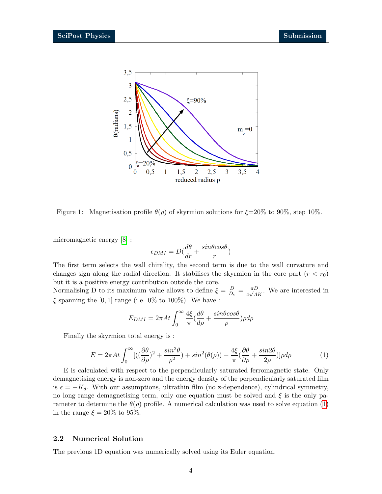

<span id="page-3-2"></span>Figure 1: Magnetisation profile  $\theta(\rho)$  of skyrmion solutions for  $\xi = 20\%$  to 90%, step 10%.

micromagnetic energy [\[8\]](#page-10-3) :

$$
\epsilon_{DMI}=D(\frac{d\theta}{dr}+\frac{sin\theta cos\theta}{r})
$$

The first term selects the wall chirality, the second term is due to the wall curvature and changes sign along the radial direction. It stabilises the skyrmion in the core part  $(r < r_0)$ but it is a positive energy contribution outside the core.

Normalising D to its maximum value allows to define  $\xi = \frac{D}{D}$  $\frac{D}{D_c} = \frac{\pi D}{4\sqrt{A}}$  $\frac{\pi D}{4\sqrt{AK}}$ . We are interested in  $\xi$  spanning the [0, 1] range (i.e. 0% to 100%). We have :

$$
E_{DMI} = 2\pi At \int_0^\infty \frac{4\xi}{\pi} \left(\frac{d\theta}{d\rho} + \frac{\sin\theta\cos\theta}{\rho}\right) \rho d\rho
$$

<span id="page-3-1"></span>Finally the skyrmion total energy is :

$$
E = 2\pi A t \int_0^\infty [((\frac{\partial \theta}{\partial \rho})^2 + \frac{\sin^2 \theta}{\rho^2}) + \sin^2(\theta(\rho)) + \frac{4\xi}{\pi}(\frac{\partial \theta}{\partial \rho} + \frac{\sin 2\theta}{2\rho})] \rho d\rho \tag{1}
$$

E is calculated with respect to the perpendicularly saturated ferromagnetic state. Only demagnetising energy is non-zero and the energy density of the perpendicularly saturated film is  $\epsilon = -K_d$ . With our assumptions, ultrathin film (no z-dependence), cylindrical symmetry, no long range demagnetising term, only one equation must be solved and  $\xi$  is the only parameter to determine the  $\theta(\rho)$  profile. A numerical calculation was used to solve equation [\(1\)](#page-3-1) in the range  $\xi = 20\%$  to 95%.

### <span id="page-3-0"></span>2.2 Numerical Solution

The previous 1D equation was numerically solved using its Euler equation.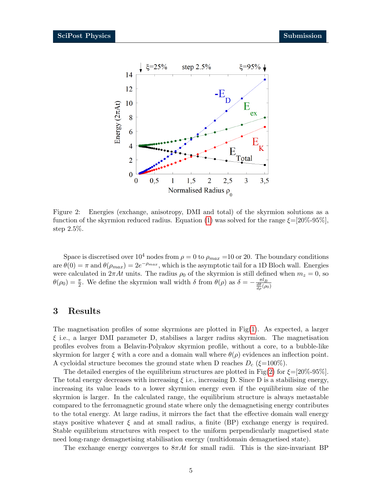

<span id="page-4-1"></span>Figure 2: Energies (exchange, anisotropy, DMI and total) of the skyrmion solutions as a function of the skyrmion reduced radius. Equation [\(1\)](#page-3-1) was solved for the range  $\xi=[20\%$ -95%], step 2.5%.

Space is discretised over  $10^4$  nodes from  $\rho = 0$  to  $\rho_{max} = 10$  or 20. The boundary conditions are  $\theta(0) = \pi$  and  $\theta(\rho_{max}) = 2e^{-\rho_{max}}$ , which is the asymptotic tail for a 1D Bloch wall. Energies were calculated in  $2\pi At$  units. The radius  $\rho_0$  of the skyrmion is still defined when  $m_z = 0$ , so  $\theta(\rho_0) = \frac{\pi}{2}$ . We define the skyrmion wall width  $\delta$  from  $\theta(\rho)$  as  $\delta = -\frac{\pi l_B}{\frac{d\theta}{d\rho}(\rho_0)}$ 

### <span id="page-4-0"></span>3 Results

The magnetisation profiles of some skyrmions are plotted in Fig[\(1\)](#page-3-2). As expected, a larger  $\xi$  i.e., a larger DMI parameter D, stabilises a larger radius skyrmion. The magnetisation profiles evolves from a Belavin-Polyakov skyrmion profile, without a core, to a bubble-like skyrmion for larger  $\xi$  with a core and a domain wall where  $\theta(\rho)$  evidences an inflection point. A cycloidal structure becomes the ground state when D reaches  $D_c$  ( $\xi$ =100%).

The detailed energies of the equilibrium structures are plotted in Fig[\(2\)](#page-4-1) for  $\xi = [20\% - 95\%]$ . The total energy decreases with increasing  $\xi$  i.e., increasing D. Since D is a stabilising energy, increasing its value leads to a lower skyrmion energy even if the equilibrium size of the skyrmion is larger. In the calculated range, the equilibrium structure is always metastable compared to the ferromagnetic ground state where only the demagnetising energy contributes to the total energy. At large radius, it mirrors the fact that the effective domain wall energy stays positive whatever  $\xi$  and at small radius, a finite (BP) exchange energy is required. Stable equilibrium structures with respect to the uniform perpendicularly magnetised state need long-range demagnetising stabilisation energy (multidomain demagnetised state).

The exchange energy converges to  $8\pi At$  for small radii. This is the size-invariant BP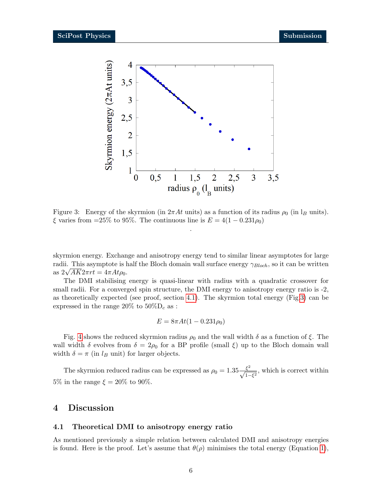

<span id="page-5-2"></span>Figure 3: Energy of the skyrmion (in  $2\pi At$  units) as a function of its radius  $\rho_0$  (in  $I_B$  units).  $\xi$  varies from =25% to 95%. The continuous line is  $E = 4(1 - 0.231\rho_0)$ .

skyrmion energy. Exchange and anisotropy energy tend to similar linear asymptotes for large radii. This asymptote is half the Bloch domain wall surface energy  $\gamma_{Bloch}$ , so it can be written radii. This asymptote is r<br>as  $2\sqrt{AK}2\pi rt = 4\pi At\rho_0$ .

The DMI stabilising energy is quasi-linear with radius with a quadratic crossover for small radii. For a converged spin structure, the DMI energy to anisotropy energy ratio is  $-2$ , as theoretically expected (see proof, section [4.1\)](#page-5-1). The skyrmion total energy (Fig[.3\)](#page-5-2) can be expressed in the range 20% to  $50\%$ D<sub>c</sub> as :

$$
E = 8\pi A t (1 - 0.231 \rho_0)
$$

Fig. [4](#page-6-1) shows the reduced skyrmion radius  $\rho_0$  and the wall width  $\delta$  as a function of  $\xi$ . The wall width  $\delta$  evolves from  $\delta = 2\rho_0$  for a BP profile (small  $\xi$ ) up to the Bloch domain wall width  $\delta = \pi$  (in  $l_B$  unit) for larger objects.

The skyrmion reduced radius can be expressed as  $\rho_0 = 1.35 \frac{\xi^2}{\sqrt{1-\xi^2}}$ , which is correct within 5% in the range  $\xi = 20\%$  to 90%.

### <span id="page-5-0"></span>4 Discussion

#### <span id="page-5-1"></span>4.1 Theoretical DMI to anisotropy energy ratio

As mentioned previously a simple relation between calculated DMI and anisotropy energies is found. Here is the proof. Let's assume that  $\theta(\rho)$  minimises the total energy (Equation [1\)](#page-3-1),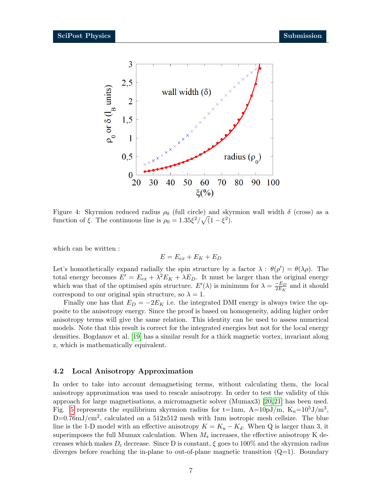

<span id="page-6-1"></span>Figure 4: Skyrmion reduced radius  $\rho_0$  (full circle) and skyrmion wall width  $\delta$  (cross) as a function of  $\xi$ . The continuous line is  $\rho_0 = 1.35 \xi^2 / \sqrt{(1 - \xi^2)}$ .

which can be written :

$$
E = E_{ex} + E_K + E_D
$$

Let's homothetically expand radially the spin structure by a factor  $\lambda : \theta(\rho') = \theta(\lambda \rho)$ . The total energy becomes  $E' = E_{ex} + \lambda^2 E_K + \lambda E_D$ . It must be larger than the original energy which was that of the optimised spin structure.  $E'(\lambda)$  is minimum for  $\lambda = \frac{-E_D}{2E_E}$  $\frac{-E_D}{2E_K}$  and it should correspond to our original spin structure, so  $\lambda = 1$ .

Finally one has that  $E_D = -2E_K$  i.e. the integrated DMI energy is always twice the opposite to the anisotropy energy. Since the proof is based on homogeneity, adding higher order anisotropy terms will give the same relation. This identity can be used to assess numerical models. Note that this result is correct for the integrated energies but not for the local energy densities. Bogdanov et al. [\[19\]](#page-11-1) has a similar result for a thick magnetic vortex, invariant along z, which is mathematically equivalent.

### <span id="page-6-0"></span>4.2 Local Anisotropy Approximation

In order to take into account demagnetising terms, without calculating them, the local anisotropy approximation was used to rescale anisotropy. In order to test the validity of this approach for large magnetisations, a micromagnetic solver (Mumax3) [\[20,](#page-11-2) [21\]](#page-11-3) has been used. Fig. [5](#page-7-1) represents the equilibrium skyrmion radius for t=1nm, A=10pJ/m, K<sub>u</sub>=10<sup>5</sup>J/m<sup>3</sup>,  $D=0.76 \text{mJ/cm}^2$ , calculated on a 512x512 mesh with 1nm isotropic mesh cellsize. The blue line is the 1-D model with an effective anisotropy  $K = K_u - K_d$ . When Q is larger than 3, it superimposes the full Mumax calculation. When  $M_s$  increases, the effective anisotropy K decreases which makes  $D_c$  decrease. Since D is constant,  $\xi$  goes to 100% and the skyrmion radius diverges before reaching the in-plane to out-of-plane magnetic transition  $(Q=1)$ . Boundary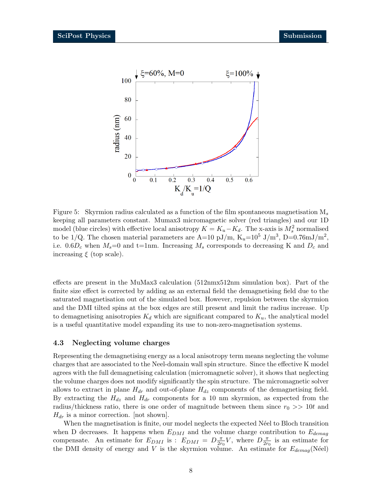

<span id="page-7-1"></span>Figure 5: Skyrmion radius calculated as a function of the film spontaneous magnetisation  $M_s$ keeping all parameters constant. Mumax3 micromagnetic solver (red triangles) and our 1D model (blue circles) with effective local anisotropy  $K = K_u - K_d$ . The x-axis is  $M_s^2$  normalised to be 1/Q. The chosen material parameters are A=10 pJ/m,  $K_u$ =10<sup>5</sup> J/m<sup>3</sup>, D=0.76mJ/m<sup>2</sup>, i.e.  $0.6D_c$  when  $M_s=0$  and t=1nm. Increasing  $M_s$  corresponds to decreasing K and  $D_c$  and increasing  $\xi$  (top scale).

effects are present in the MuMax3 calculation (512nmx512nm simulation box). Part of the finite size effect is corrected by adding as an external field the demagnetising field due to the saturated magnetisation out of the simulated box. However, repulsion between the skyrmion and the DMI tilted spins at the box edges are still present and limit the radius increase. Up to demagnetising anisotropies  $K_d$  which are significant compared to  $K_u$ , the analytical model is a useful quantitative model expanding its use to non-zero-magnetisation systems.

#### <span id="page-7-0"></span>4.3 Neglecting volume charges

Representing the demagnetising energy as a local anisotropy term means neglecting the volume charges that are associated to the Neel-domain wall spin structure. Since the effective K model agrees with the full demagnetising calculation (micromagnetic solver), it shows that neglecting the volume charges does not modify significantly the spin structure. The micromagnetic solver allows to extract in plane  $H_{dr}$  and out-of-plane  $H_{dz}$  components of the demagnetising field. By extracting the  $H_{dz}$  and  $H_{dr}$  components for a 10 nm skyrmion, as expected from the radius/thickness ratio, there is one order of magnitude between them since  $r_0 \gg 10t$  and  $H_{dr}$  is a minor correction. [not shown].

When the magnetisation is finite, our model neglects the expected Neel to Bloch transition when D decreases. It happens when  $E_{DMI}$  and the volume charge contribution to  $E_{demag}$ compensate. An estimate for  $E_{DMI}$  is :  $E_{DMI} = D \frac{\pi}{2r_0} V$ , where  $D \frac{\pi}{2r_0}$  is an estimate for the DMI density of energy and V is the skyrmion volume. An estimate for  $E_{demag}$ (Néel)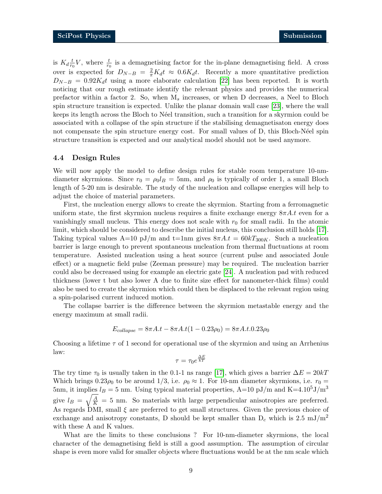is  $K_d \frac{t}{r_0}$  $\frac{t}{r_0}V$ , where  $\frac{t}{r_0}$  is a demagnetising factor for the in-plane demagnetising field. A cross over is expected for  $D_{N-B} = \frac{2}{\pi} K_d t \approx 0.6 K_d t$ . Recently a more quantitative prediction  $D_{N-B} = 0.92K_d t$  using a more elaborate calculation [\[22\]](#page-11-4) has been reported. It is worth noticing that our rough estimate identify the relevant physics and provides the numerical prefactor within a factor 2. So, when  $M_s$  increases, or when D decreases, a Neel to Bloch spin structure transition is expected. Unlike the planar domain wall case [\[23\]](#page-11-5), where the wall keeps its length across the Bloch to Néel transition, such a transition for a skyrmion could be associated with a collapse of the spin structure if the stabilising demagnetisaton energy does not compensate the spin structure energy cost. For small values of D, this Bloch-Néel spin structure transition is expected and our analytical model should not be used anymore.

#### <span id="page-8-0"></span>4.4 Design Rules

We will now apply the model to define design rules for stable room temperature 10-nmdiameter skyrmions. Since  $r_0 = \rho_0 l_B = 5$ nm, and  $\rho_0$  is typically of order 1, a small Bloch length of 5-20 nm is desirable. The study of the nucleation and collapse energies will help to adjust the choice of material parameters.

First, the nucleation energy allows to create the skyrmion. Starting from a ferromagnetic uniform state, the first skyrmion nucleus requires a finite exchange energy  $8\pi A.t$  even for a vanishingly small nucleus. This energy does not scale with  $r_0$  for small radii. In the atomic limit, which should be considered to describe the initial nucleus, this conclusion still holds [\[17\]](#page-10-12). Taking typical values  $A=10$  pJ/m and t=1nm gives  $8\pi A.t = 60kT_{300K}$ . Such a nucleation barrier is large enough to prevent spontaneous nucleation from thermal fluctuations at room temperature. Assisted nucleation using a heat source (current pulse and associated Joule effect) or a magnetic field pulse (Zeeman pressure) may be required. The nucleation barrier could also be decreased using for example an electric gate [\[24\]](#page-11-6). A nucleation pad with reduced thickness (lower t but also lower A due to finite size effect for nanometer-thick films) could also be used to create the skyrmion which could then be displaced to the relevant region using a spin-polarised current induced motion.

The collapse barrier is the difference between the skyrmion metastable energy and the energy maximum at small radii.

$$
E_{collapse} = 8\pi A.t - 8\pi A.t(1 - 0.23\rho_0) = 8\pi A.t. 0.23\rho_0
$$

Choosing a lifetime  $\tau$  of 1 second for operational use of the skyrmion and using an Arrhenius law:

$$
\tau = \tau_0 e^{\frac{\Delta E}{kT}}
$$

The try time  $\tau_0$  is usually taken in the 0.1-1 ns range [\[17\]](#page-10-12), which gives a barrier  $\Delta E = 20kT$ Which brings  $0.23\rho_0$  to be around  $1/3$ , i.e.  $\rho_0 \approx 1$ . For 10-nm diameter skyrmions, i.e.  $r_0 =$ 5nm, it implies  $l_B = 5$  nm. Using typical material properties, A=10 pJ/m and K=4.10<sup>5</sup>J/m<sup>3</sup> give  $l_B = \sqrt{\frac{A}{K}} = 5$  nm. So materials with large perpendicular anisotropies are preferred. As regards DMI, small  $\xi$  are preferred to get small structures. Given the previous choice of exchange and anisotropy constants, D should be kept smaller than  $D_c$  which is 2.5 mJ/m<sup>2</sup> with these A and K values.

What are the limits to these conclusions ? For 10-nm-diameter skyrmions, the local character of the demagnetising field is still a good assumption. The assumption of circular shape is even more valid for smaller objects where fluctuations would be at the nm scale which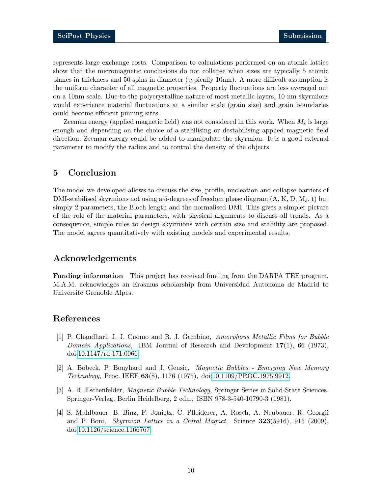represents large exchange costs. Comparison to calculations performed on an atomic lattice show that the micromagnetic conclusions do not collapse when sizes are typically 5 atomic planes in thickness and 50 spins in diameter (typically 10nm). A more difficult assumption is the uniform character of all magnetic properties. Property fluctuations are less averaged out on a 10nm scale. Due to the polycrystalline nature of most metallic layers, 10-nm skyrmions would experience material fluctuations at a similar scale (grain size) and grain boundaries could become efficient pinning sites.

Zeeman energy (applied magnetic field) was not considered in this work. When  $M_s$  is large enough and depending on the choice of a stabilising or destabilising applied magnetic field direction, Zeeman energy could be added to manipulate the skyrmion. It is a good external parameter to modify the radius and to control the density of the objects.

# <span id="page-9-0"></span>5 Conclusion

The model we developed allows to discuss the size, profile, nucleation and collapse barriers of DMI-stabilised skyrmions not using a 5-degrees of freedom phase diagram  $(A, K, D, M<sub>s</sub>, t)$  but simply 2 parameters, the Bloch length and the normalised DMI. This gives a simpler picture of the role of the material parameters, with physical arguments to discuss all trends. As a consequence, simple rules to design skyrmions with certain size and stability are proposed. The model agrees quantitatively with existing models and experimental results.

# Acknowledgements

<span id="page-9-1"></span>Funding information This project has received funding from the DARPA TEE program. M.A.M. acknowledges an Erasmus scholarship from Universidad Autonoma de Madrid to Université Grenoble Alpes.

## References

- <span id="page-9-2"></span>[1] P. Chaudhari, J. J. Cuomo and R. J. Gambino, Amorphous Metallic Films for Bubble *Domain Applications*, IBM Journal of Research and Development  $17(1)$ , 66 (1973), doi[:10.1147/rd.171.0066.](https://doi.org/10.1147/rd.171.0066)
- [2] A. Bobeck, P. Bonyhard and J. Geusic, Magnetic Bubbles Emerging New Memory Technology, Proc. IEEE 63(8), 1176 (1975), doi[:10.1109/PROC.1975.9912.](https://doi.org/10.1109/PROC.1975.9912)
- <span id="page-9-3"></span>[3] A. H. Eschenfelder, *Magnetic Bubble Technology*, Springer Series in Solid-State Sciences. Springer-Verlag, Berlin Heidelberg, 2 edn., ISBN 978-3-540-10790-3 (1981).
- <span id="page-9-4"></span>[4] S. Muhlbauer, B. Binz, F. Jonietz, C. Pfleiderer, A. Rosch, A. Neubauer, R. Georgii and P. Boni, Skyrmion Lattice in a Chiral Magnet, Science 323(5916), 915 (2009), doi[:10.1126/science.1166767.](https://doi.org/10.1126/science.1166767)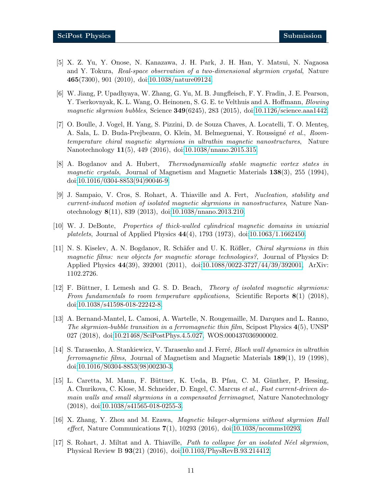- <span id="page-10-0"></span>[5] X. Z. Yu, Y. Onose, N. Kanazawa, J. H. Park, J. H. Han, Y. Matsui, N. Nagaosa and Y. Tokura, Real-space observation of a two-dimensional skyrmion crystal, Nature 465(7300), 901 (2010), doi[:10.1038/nature09124.](https://doi.org/10.1038/nature09124)
- <span id="page-10-1"></span>[6] W. Jiang, P. Upadhyaya, W. Zhang, G. Yu, M. B. Jungfleisch, F. Y. Fradin, J. E. Pearson, Y. Tserkovnyak, K. L. Wang, O. Heinonen, S. G. E. te Velthuis and A. Hoffmann, *Blowing* magnetic skyrmion bubbles, Science  $349(6245)$ , 283 (2015), doi[:10.1126/science.aaa1442.](https://doi.org/10.1126/science.aaa1442)
- <span id="page-10-2"></span>[7] O. Boulle, J. Vogel, H. Yang, S. Pizzini, D. de Souza Chaves, A. Locatelli, T. O. Mentes, A. Sala, L. D. Buda-Prejbeanu, O. Klein, M. Belmeguenai, Y. Roussigné et al., Roomtemperature chiral magnetic skyrmions in ultrathin magnetic nanostructures, Nature Nanotechnology 11(5), 449 (2016), doi[:10.1038/nnano.2015.315.](https://doi.org/10.1038/nnano.2015.315)
- <span id="page-10-3"></span>[8] A. Bogdanov and A. Hubert, Thermodynamically stable magnetic vortex states in magnetic crystals, Journal of Magnetism and Magnetic Materials 138(3), 255 (1994), doi[:10.1016/0304-8853\(94\)90046-9.](https://doi.org/10.1016/0304-8853(94)90046-9)
- <span id="page-10-4"></span>[9] J. Sampaio, V. Cros, S. Rohart, A. Thiaville and A. Fert, Nucleation, stability and current-induced motion of isolated magnetic skyrmions in nanostructures, Nature Nanotechnology 8(11), 839 (2013), doi[:10.1038/nnano.2013.210.](https://doi.org/10.1038/nnano.2013.210)
- <span id="page-10-5"></span>[10] W. J. DeBonte, Properties of thick-walled cylindrical magnetic domains in uniaxial platelets, Journal of Applied Physics  $44(4)$ , 1793 (1973), doi[:10.1063/1.1662450.](https://doi.org/10.1063/1.1662450)
- <span id="page-10-6"></span>[11] N. S. Kiselev, A. N. Bogdanov, R. Schäfer and U. K. Rößler, *Chiral skyrmions in thin* magnetic films: new objects for magnetic storage technologies?, Journal of Physics D: Applied Physics 44(39), 392001 (2011), doi[:10.1088/0022-3727/44/39/392001,](https://doi.org/10.1088/0022-3727/44/39/392001) ArXiv: 1102.2726.
- <span id="page-10-8"></span>[12] F. Büttner, I. Lemesh and G. S. D. Beach, *Theory of isolated magnetic skyrmions:* From fundamentals to room temperature applications, Scientific Reports  $8(1)$  (2018), doi[:10.1038/s41598-018-22242-8.](https://doi.org/10.1038/s41598-018-22242-8)
- <span id="page-10-7"></span>[13] A. Bernand-Mantel, L. Camosi, A. Wartelle, N. Rougemaille, M. Darques and L. Ranno, The skyrmion-bubble transition in a ferromagnetic thin film, Scipost Physics 4(5), UNSP 027 (2018), doi[:10.21468/SciPostPhys.4.5.027,](https://doi.org/10.21468/SciPostPhys.4.5.027) WOS:000437036900002.
- <span id="page-10-9"></span>[14] S. Tarasenko, A. Stankiewicz, V. Tarasenko and J. Ferré, *Bloch wall dynamics in ultrathin* ferromagnetic films, Journal of Magnetism and Magnetic Materials 189(1), 19 (1998), doi[:10.1016/S0304-8853\(98\)00230-3.](https://doi.org/10.1016/S0304-8853(98)00230-3)
- <span id="page-10-10"></span>[15] L. Caretta, M. Mann, F. Büttner, K. Ueda, B. Pfau, C. M. Günther, P. Hessing, A. Churikova, C. Klose, M. Schneider, D. Engel, C. Marcus et al., Fast current-driven domain walls and small skyrmions in a compensated ferrimagnet, Nature Nanotechnology (2018), doi[:10.1038/s41565-018-0255-3.](https://doi.org/10.1038/s41565-018-0255-3)
- <span id="page-10-11"></span>[16] X. Zhang, Y. Zhou and M. Ezawa, Magnetic bilayer-skyrmions without skyrmion Hall effect, Nature Communications 7(1), 10293 (2016), doi[:10.1038/ncomms10293.](https://doi.org/10.1038/ncomms10293)
- <span id="page-10-12"></span>[17] S. Rohart, J. Miltat and A. Thiaville, *Path to collapse for an isolated Néel skyrmion*, Physical Review B 93(21) (2016), doi[:10.1103/PhysRevB.93.214412.](https://doi.org/10.1103/PhysRevB.93.214412)